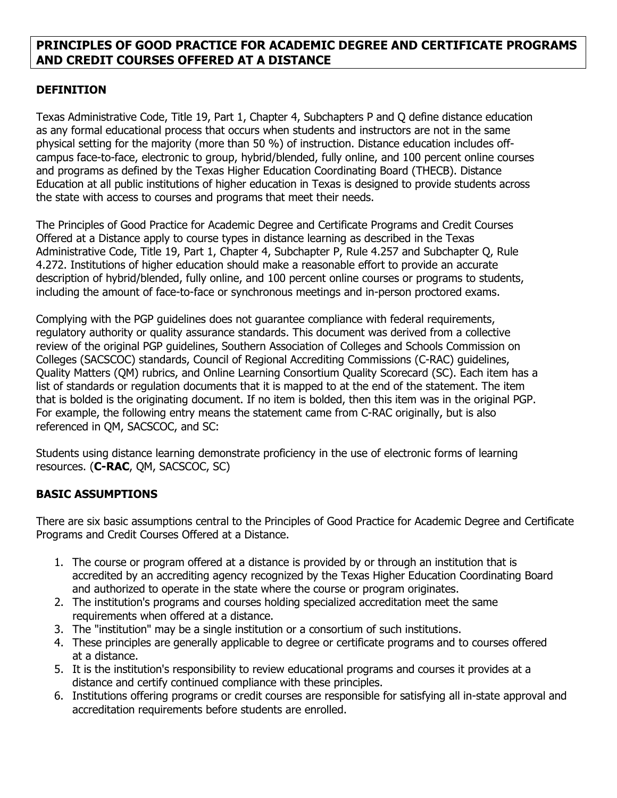### **PRINCIPLES OF GOOD PRACTICE FOR ACADEMIC DEGREE AND CERTIFICATE PROGRAMS AND CREDIT COURSES OFFERED AT A DISTANCE**

### **DEFINITION**

Texas Administrative Code, Title 19, Part 1, Chapter 4, Subchapters P and Q define distance education as any formal educational process that occurs when students and instructors are not in the same physical setting for the majority (more than 50 %) of instruction. Distance education includes offcampus face-to-face, electronic to group, hybrid/blended, fully online, and 100 percent online courses and programs as defined by the Texas Higher Education Coordinating Board (THECB). Distance Education at all public institutions of higher education in Texas is designed to provide students across the state with access to courses and programs that meet their needs.

The Principles of Good Practice for Academic Degree and Certificate Programs and Credit Courses Offered at a Distance apply to course types in distance learning as described in the [Texas](https://texreg.sos.state.tx.us/public/readtac$ext.TacPage?sl=R&app=9&p_dir=&p_rloc=&p_tloc=&p_ploc=&pg=1&p_tac=&ti=19&pt=1&ch=4&rl=257)  [Administrative Code,](https://texreg.sos.state.tx.us/public/readtac$ext.TacPage?sl=R&app=9&p_dir=&p_rloc=&p_tloc=&p_ploc=&pg=1&p_tac=&ti=19&pt=1&ch=4&rl=257) Title 19, Part 1, Chapter 4, Subchapter P, Rule 4.257 and Subchapter Q, Rule 4.272. Institutions of higher education should make a reasonable effort to provide an accurate description of hybrid/blended, fully online, and 100 percent online courses or programs to students, including the amount of face-to-face or synchronous meetings and in-person proctored exams.

Complying with the PGP guidelines does not guarantee compliance with federal requirements, regulatory authority or quality assurance standards. This document was derived from a collective review of the original PGP guidelines, Southern Association of Colleges and Schools Commission on Colleges (SACSCOC) standards, Council of Regional Accrediting Commissions (C-RAC) guidelines, Quality Matters (QM) rubrics, and Online Learning Consortium Quality Scorecard (SC). Each item has a list of standards or regulation documents that it is mapped to at the end of the statement. The item that is bolded is the originating document. If no item is bolded, then this item was in the original PGP. For example, the following entry means the statement came from C-RAC originally, but is also referenced in QM, SACSCOC, and SC:

Students using distance learning demonstrate proficiency in the use of electronic forms of learning resources. (**C-RAC**, QM, SACSCOC, SC)

### **BASIC ASSUMPTIONS**

There are six basic assumptions central to the Principles of Good Practice for Academic Degree and Certificate Programs and Credit Courses Offered at a Distance.

- 1. The course or program offered at a distance is provided by or through an institution that is accredited by an accrediting agency recognized by the Texas Higher Education Coordinating Board and authorized to operate in the state where the course or program originates.
- 2. The institution's programs and courses holding specialized accreditation meet the same requirements when offered at a distance.
- 3. The "institution" may be a single institution or a consortium of such institutions.
- 4. These principles are generally applicable to degree or certificate programs and to courses offered at a distance.
- 5. It is the institution's responsibility to review educational programs and courses it provides at a distance and certify continued compliance with these principles.
- 6. Institutions offering programs or credit courses are responsible for satisfying all in-state approval and accreditation requirements before students are enrolled.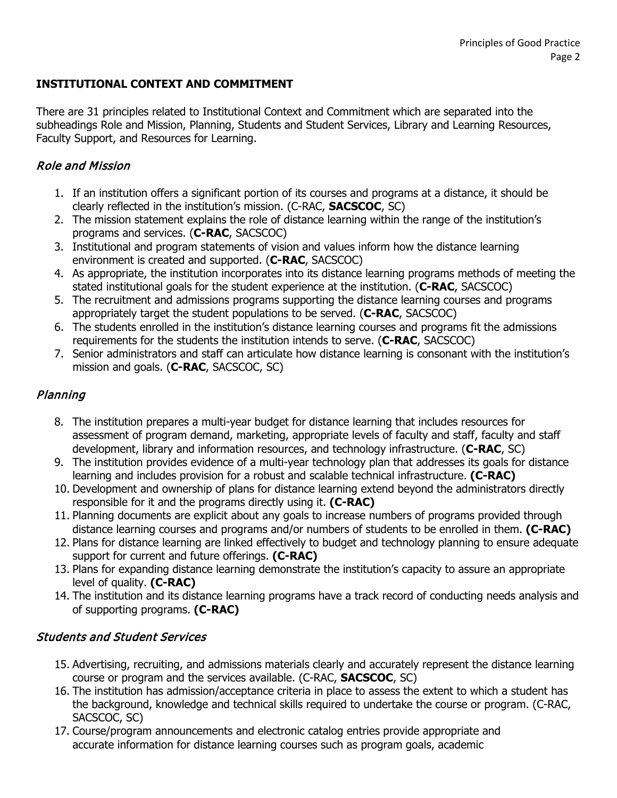## **INSTITUTIONAL CONTEXT AND COMMITMENT**

There are 31 principles related to Institutional Context and Commitment which are separated into the subheadings Role and Mission, Planning, Students and Student Services, Library and Learning Resources, Faculty Support, and Resources for Learning.

## Role and Mission

- 1. If an institution offers a significant portion of its courses and programs at a distance, it should be clearly reflected in the institution's mission. (C-RAC, **SACSCOC**, SC)
- 2. The mission statement explains the role of distance learning within the range of the institution's programs and services. (**C-RAC**, SACSCOC)
- 3. Institutional and program statements of vision and values inform how the distance learning environment is created and supported. (**C-RAC**, SACSCOC)
- 4. As appropriate, the institution incorporates into its distance learning programs methods of meeting the stated institutional goals for the student experience at the institution. (**C-RAC**, SACSCOC)
- 5. The recruitment and admissions programs supporting the distance learning courses and programs appropriately target the student populations to be served. (**C-RAC**, SACSCOC)
- 6. The students enrolled in the institution's distance learning courses and programs fit the admissions requirements for the students the institution intends to serve. (**C-RAC**, SACSCOC)
- 7. Senior administrators and staff can articulate how distance learning is consonant with the institution's mission and goals. (**C-RAC**, SACSCOC, SC)

### Planning

- 8. The institution prepares a multi-year budget for distance learning that includes resources for assessment of program demand, marketing, appropriate levels of faculty and staff, faculty and staff development, library and information resources, and technology infrastructure. (**C-RAC**, SC)
- 9. The institution provides evidence of a multi-year technology plan that addresses its goals for distance learning and includes provision for a robust and scalable technical infrastructure. **(C-RAC)**
- 10. Development and ownership of plans for distance learning extend beyond the administrators directly responsible for it and the programs directly using it. **(C-RAC)**
- 11. Planning documents are explicit about any goals to increase numbers of programs provided through distance learning courses and programs and/or numbers of students to be enrolled in them. **(C-RAC)**
- 12. Plans for distance learning are linked effectively to budget and technology planning to ensure adequate support for current and future offerings. **(C-RAC)**
- 13. Plans for expanding distance learning demonstrate the institution's capacity to assure an appropriate level of quality. **(C-RAC)**
- 14. The institution and its distance learning programs have a track record of conducting needs analysis and of supporting programs. **(C-RAC)**

### Students and Student Services

- 15. Advertising, recruiting, and admissions materials clearly and accurately represent the distance learning course or program and the services available. (C-RAC, **SACSCOC**, SC)
- 16. The institution has admission/acceptance criteria in place to assess the extent to which a student has the background, knowledge and technical skills required to undertake the course or program. (C-RAC, SACSCOC, SC)
- 17. Course/program announcements and electronic catalog entries provide appropriate and accurate information for distance learning courses such as program goals, academic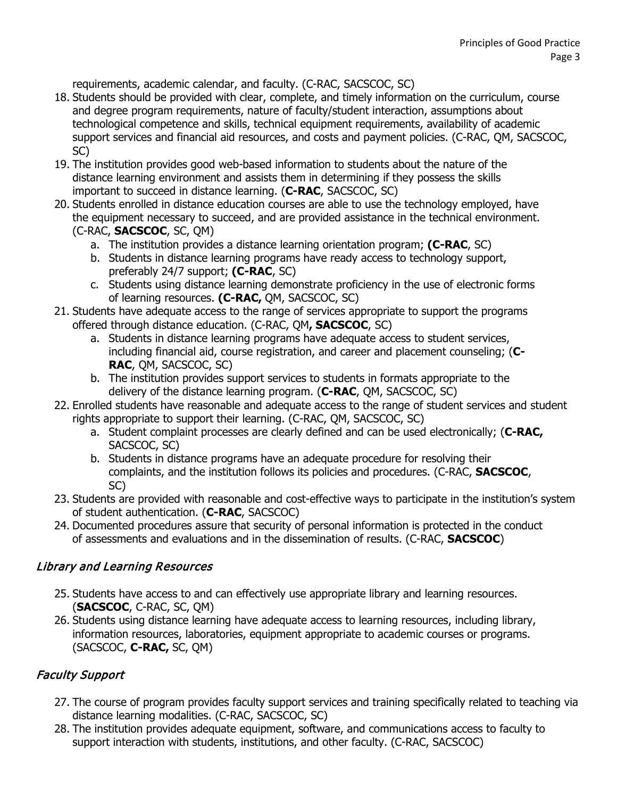requirements, academic calendar, and faculty. (C-RAC, SACSCOC, SC)

- 18. Students should be provided with clear, complete, and timely information on the curriculum, course and degree program requirements, nature of faculty/student interaction, assumptions about technological competence and skills, technical equipment requirements, availability of academic support services and financial aid resources, and costs and payment policies. (C-RAC, QM, SACSCOC, SC)
- 19. The institution provides good web-based information to students about the nature of the distance learning environment and assists them in determining if they possess the skills important to succeed in distance learning. (**C-RAC**, SACSCOC, SC)
- 20. Students enrolled in distance education courses are able to use the technology employed, have the equipment necessary to succeed, and are provided assistance in the technical environment. (C-RAC, **SACSCOC**, SC, QM)
	- a. The institution provides a distance learning orientation program; **(C-RAC**, SC)
	- b. Students in distance learning programs have ready access to technology support, preferably 24/7 support; **(C-RAC**, SC)
	- c. Students using distance learning demonstrate proficiency in the use of electronic forms of learning resources. **(C-RAC,** QM, SACSCOC, SC)
- 21. Students have adequate access to the range of services appropriate to support the programs offered through distance education. (C-RAC, QM**, SACSCOC**, SC)
	- a. Students in distance learning programs have adequate access to student services, including financial aid, course registration, and career and placement counseling; (**C-RAC**, QM, SACSCOC, SC)
	- b. The institution provides support services to students in formats appropriate to the delivery of the distance learning program. (**C-RAC**, QM, SACSCOC, SC)
- 22. Enrolled students have reasonable and adequate access to the range of student services and student rights appropriate to support their learning. (C-RAC, QM, SACSCOC, SC)
	- a. Student complaint processes are clearly defined and can be used electronically; (**C-RAC,**  SACSCOC, SC)
	- b. Students in distance programs have an adequate procedure for resolving their complaints, and the institution follows its policies and procedures. (C-RAC, **SACSCOC**, SC)
- 23. Students are provided with reasonable and cost-effective ways to participate in the institution's system of student authentication. (**C-RAC**, SACSCOC)
- 24. Documented procedures assure that security of personal information is protected in the conduct of assessments and evaluations and in the dissemination of results. (C-RAC, **SACSCOC**)

## Library and Learning Resources

- 25. Students have access to and can effectively use appropriate library and learning resources. (**SACSCOC**, C-RAC, SC, QM)
- 26. Students using distance learning have adequate access to learning resources, including library, information resources, laboratories, equipment appropriate to academic courses or programs. (SACSCOC, **C-RAC,** SC, QM)

# Faculty Support

- 27. The course of program provides faculty support services and training specifically related to teaching via distance learning modalities. (C-RAC, SACSCOC, SC)
- 28. The institution provides adequate equipment, software, and communications access to faculty to support interaction with students, institutions, and other faculty. (C-RAC, SACSCOC)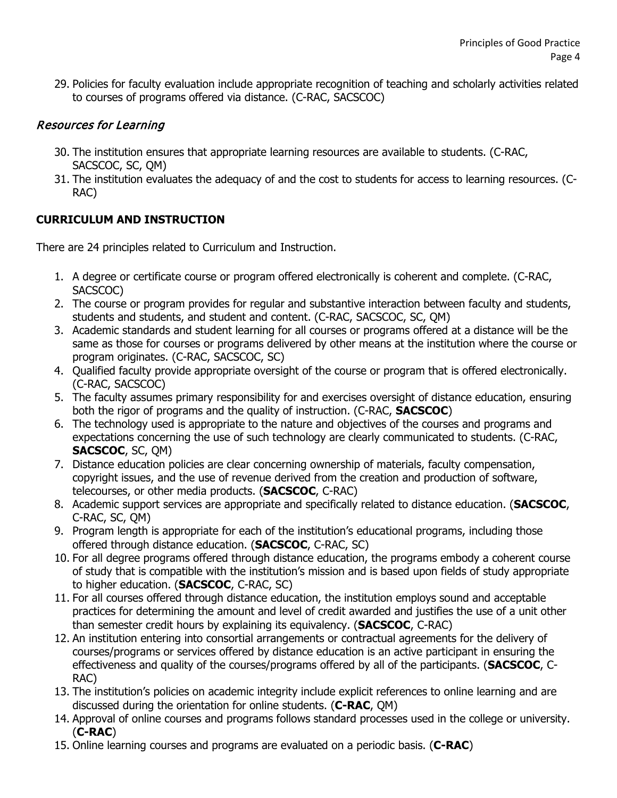29. Policies for faculty evaluation include appropriate recognition of teaching and scholarly activities related to courses of programs offered via distance. (C-RAC, SACSCOC)

## Resources for Learning

- 30. The institution ensures that appropriate learning resources are available to students. (C-RAC, SACSCOC, SC, QM)
- 31. The institution evaluates the adequacy of and the cost to students for access to learning resources. (C-RAC)

## **CURRICULUM AND INSTRUCTION**

There are 24 principles related to Curriculum and Instruction.

- 1. A degree or certificate course or program offered electronically is coherent and complete. (C-RAC, SACSCOC)
- 2. The course or program provides for regular and substantive interaction between faculty and students, students and students, and student and content. (C-RAC, SACSCOC, SC, QM)
- 3. Academic standards and student learning for all courses or programs offered at a distance will be the same as those for courses or programs delivered by other means at the institution where the course or program originates. (C-RAC, SACSCOC, SC)
- 4. Qualified faculty provide appropriate oversight of the course or program that is offered electronically. (C-RAC, SACSCOC)
- 5. The faculty assumes primary responsibility for and exercises oversight of distance education, ensuring both the rigor of programs and the quality of instruction. (C-RAC, **SACSCOC**)
- 6. The technology used is appropriate to the nature and objectives of the courses and programs and expectations concerning the use of such technology are clearly communicated to students. (C-RAC, **SACSCOC**, SC, QM)
- 7. Distance education policies are clear concerning ownership of materials, faculty compensation, copyright issues, and the use of revenue derived from the creation and production of software, telecourses, or other media products. (**SACSCOC**, C-RAC)
- 8. Academic support services are appropriate and specifically related to distance education. (**SACSCOC**, C-RAC, SC, QM)
- 9. Program length is appropriate for each of the institution's educational programs, including those offered through distance education. (**SACSCOC**, C-RAC, SC)
- 10. For all degree programs offered through distance education, the programs embody a coherent course of study that is compatible with the institution's mission and is based upon fields of study appropriate to higher education. (**SACSCOC**, C-RAC, SC)
- 11. For all courses offered through distance education, the institution employs sound and acceptable practices for determining the amount and level of credit awarded and justifies the use of a unit other than semester credit hours by explaining its equivalency. (**SACSCOC**, C-RAC)
- 12. An institution entering into consortial arrangements or contractual agreements for the delivery of courses/programs or services offered by distance education is an active participant in ensuring the effectiveness and quality of the courses/programs offered by all of the participants. (**SACSCOC**, C-RAC)
- 13. The institution's policies on academic integrity include explicit references to online learning and are discussed during the orientation for online students. (**C-RAC**, QM)
- 14. Approval of online courses and programs follows standard processes used in the college or university. (**C-RAC**)
- 15. Online learning courses and programs are evaluated on a periodic basis. (**C-RAC**)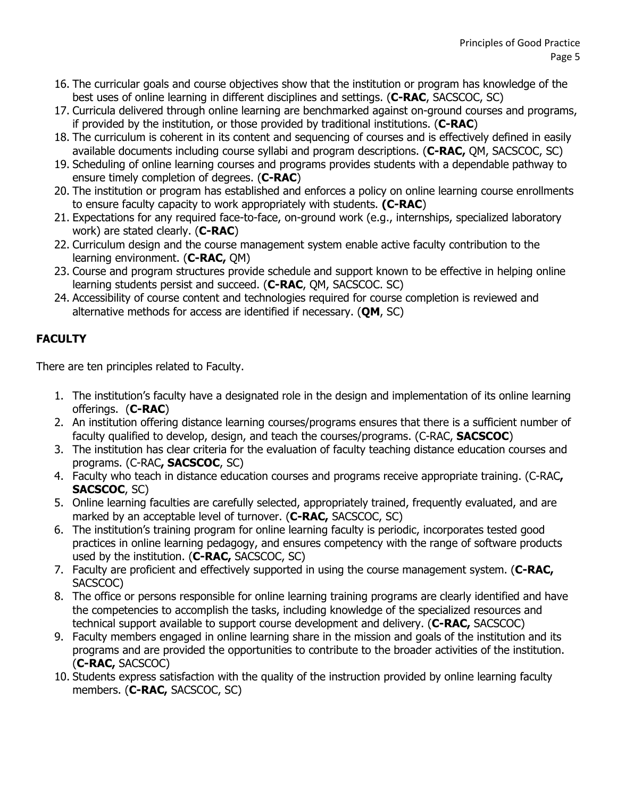- 16. The curricular goals and course objectives show that the institution or program has knowledge of the best uses of online learning in different disciplines and settings. (**C-RAC**, SACSCOC, SC)
- 17. Curricula delivered through online learning are benchmarked against on-ground courses and programs, if provided by the institution, or those provided by traditional institutions. (**C-RAC**)
- 18. The curriculum is coherent in its content and sequencing of courses and is effectively defined in easily available documents including course syllabi and program descriptions. (**C-RAC,** QM, SACSCOC, SC)
- 19. Scheduling of online learning courses and programs provides students with a dependable pathway to ensure timely completion of degrees. (**C-RAC**)
- 20. The institution or program has established and enforces a policy on online learning course enrollments to ensure faculty capacity to work appropriately with students. **(C-RAC**)
- 21. Expectations for any required face-to-face, on-ground work (e.g., internships, specialized laboratory work) are stated clearly. (**C-RAC**)
- 22. Curriculum design and the course management system enable active faculty contribution to the learning environment. (**C-RAC,** QM)
- 23. Course and program structures provide schedule and support known to be effective in helping online learning students persist and succeed. (**C-RAC**, QM, SACSCOC. SC)
- 24. Accessibility of course content and technologies required for course completion is reviewed and alternative methods for access are identified if necessary. (**QM**, SC)

## **FACULTY**

There are ten principles related to Faculty.

- 1. The institution's faculty have a designated role in the design and implementation of its online learning offerings. (**C-RAC**)
- 2. An institution offering distance learning courses/programs ensures that there is a sufficient number of faculty qualified to develop, design, and teach the courses/programs. (C-RAC, **SACSCOC**)
- 3. The institution has clear criteria for the evaluation of faculty teaching distance education courses and programs. (C-RAC**, SACSCOC**, SC)
- 4. Faculty who teach in distance education courses and programs receive appropriate training. (C-RAC**, SACSCOC**, SC)
- 5. Online learning faculties are carefully selected, appropriately trained, frequently evaluated, and are marked by an acceptable level of turnover. (**C-RAC,** SACSCOC, SC)
- 6. The institution's training program for online learning faculty is periodic, incorporates tested good practices in online learning pedagogy, and ensures competency with the range of software products used by the institution. (**C-RAC,** SACSCOC, SC)
- 7. Faculty are proficient and effectively supported in using the course management system. (**C-RAC,**  SACSCOC)
- 8. The office or persons responsible for online learning training programs are clearly identified and have the competencies to accomplish the tasks, including knowledge of the specialized resources and technical support available to support course development and delivery. (**C-RAC,** SACSCOC)
- 9. Faculty members engaged in online learning share in the mission and goals of the institution and its programs and are provided the opportunities to contribute to the broader activities of the institution. (**C-RAC,** SACSCOC)
- 10. Students express satisfaction with the quality of the instruction provided by online learning faculty members. (**C-RAC,** SACSCOC, SC)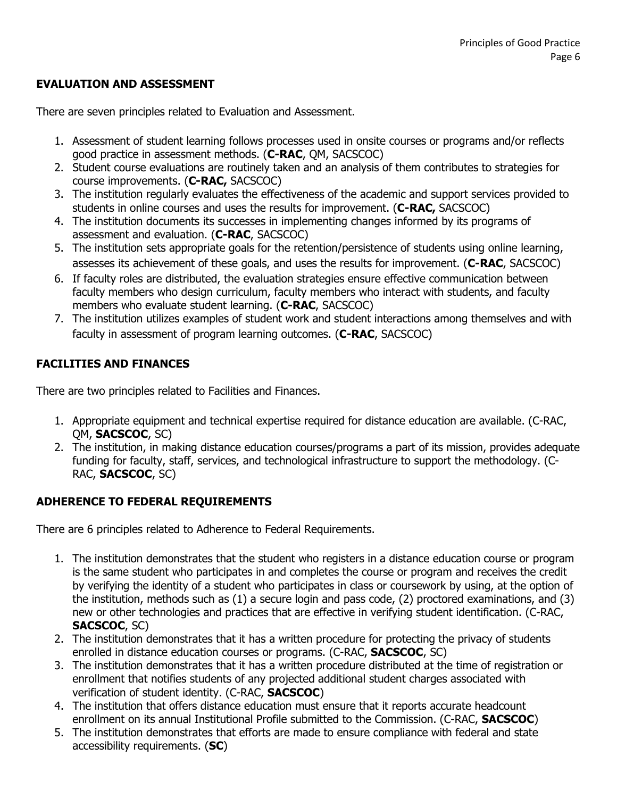### **EVALUATION AND ASSESSMENT**

There are seven principles related to Evaluation and Assessment.

- 1. Assessment of student learning follows processes used in onsite courses or programs and/or reflects good practice in assessment methods. (**C-RAC**, QM, SACSCOC)
- 2. Student course evaluations are routinely taken and an analysis of them contributes to strategies for course improvements. (**C-RAC,** SACSCOC)
- 3. The institution regularly evaluates the effectiveness of the academic and support services provided to students in online courses and uses the results for improvement. (**C-RAC,** SACSCOC)
- 4. The institution documents its successes in implementing changes informed by its programs of assessment and evaluation. (**C-RAC**, SACSCOC)
- 5. The institution sets appropriate goals for the retention/persistence of students using online learning, assesses its achievement of these goals, and uses the results for improvement. (**C-RAC**, SACSCOC)
- 6. If faculty roles are distributed, the evaluation strategies ensure effective communication between faculty members who design curriculum, faculty members who interact with students, and faculty members who evaluate student learning. (**C-RAC**, SACSCOC)
- 7. The institution utilizes examples of student work and student interactions among themselves and with faculty in assessment of program learning outcomes. (**C-RAC**, SACSCOC)

### **FACILITIES AND FINANCES**

There are two principles related to Facilities and Finances.

- 1. Appropriate equipment and technical expertise required for distance education are available. (C-RAC, QM, **SACSCOC**, SC)
- 2. The institution, in making distance education courses/programs a part of its mission, provides adequate funding for faculty, staff, services, and technological infrastructure to support the methodology. (C-RAC, **SACSCOC**, SC)

### **ADHERENCE TO FEDERAL REQUIREMENTS**

There are 6 principles related to Adherence to Federal Requirements.

- 1. The institution demonstrates that the student who registers in a distance education course or program is the same student who participates in and completes the course or program and receives the credit by verifying the identity of a student who participates in class or coursework by using, at the option of the institution, methods such as (1) a secure login and pass code, (2) proctored examinations, and (3) new or other technologies and practices that are effective in verifying student identification. (C-RAC, **SACSCOC**, SC)
- 2. The institution demonstrates that it has a written procedure for protecting the privacy of students enrolled in distance education courses or programs. (C-RAC, **SACSCOC**, SC)
- 3. The institution demonstrates that it has a written procedure distributed at the time of registration or enrollment that notifies students of any projected additional student charges associated with verification of student identity. (C-RAC, **SACSCOC**)
- 4. The institution that offers distance education must ensure that it reports accurate headcount enrollment on its annual Institutional Profile submitted to the Commission. (C-RAC, **SACSCOC**)
- 5. The institution demonstrates that efforts are made to ensure compliance with federal and state accessibility requirements. (**SC**)